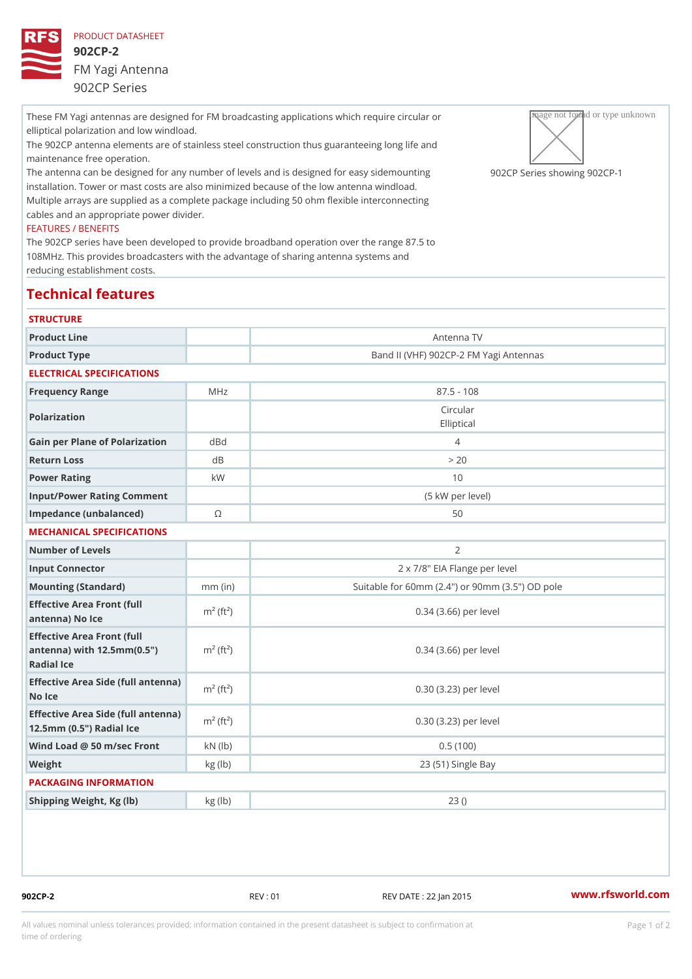These FM Yagi antennas are designed for FM broadcasting applications which preparing the circular own elliptical polarization and low windload. The 902CP antenna elements are of stainless steel construction thus guaranteeing ong life and maintenance free operation. The antenna can be designed for any number of levels and is designed9 Of  $aC$  PaSs grised esmhonuwnining  $g902$  (CP – installation. Tower or mast costs are also minimized because of the low antenna windload.

Multiple arrays are supplied as a complete package including 50 ohm flexible interconnecting cables and an appropriate power divider.

### FEATURES / BENEFITS

The 902CP series have been developed to provide broadband operation over the range 87.5 to 108MHz. This provides broadcasters with the advantage of sharing antenna systems and reducing establishment costs.

## Technical features

| <b>STRUCTURE</b>                                                                                                       |                       |                                                     |
|------------------------------------------------------------------------------------------------------------------------|-----------------------|-----------------------------------------------------|
| Product Line                                                                                                           |                       | Antenna TV                                          |
| Product Type                                                                                                           |                       | Band II (VHF) 902CP-2 FM Yagi Antennas              |
| ELECTRICAL SPECIFICATIONS                                                                                              |                       |                                                     |
| Frequency Range                                                                                                        | MHz                   | $87.5 - 108$                                        |
| Polarization                                                                                                           |                       | Circular<br>Elliptical                              |
| Gain per Plane of Polarizat doBnd                                                                                      |                       | $\overline{4}$                                      |
| Return Loss                                                                                                            | d B                   | > 20                                                |
| Power Rating                                                                                                           | k W                   | 10                                                  |
| Input/Power Rating Comment                                                                                             |                       | (5 kW per level)                                    |
| Impedance (unbalanced)                                                                                                 | $\circledcirc$        | 50                                                  |
| MECHANICAL SPECIFICATIONS                                                                                              |                       |                                                     |
| Number of Levels                                                                                                       |                       | 2                                                   |
| Input Connector                                                                                                        |                       | 2 x 7/8" EIA Flange per level                       |
| Mounting (Standard)                                                                                                    | $mm$ (in)             | Suitable for 60mm $(2.4")$ or 90mm $(3.5")$ OD pole |
| Effective Area Front (full<br>antenna) No Ice                                                                          | $m2$ (ft <sup>2</sup> | 0.34 (3.66) per level                               |
| Effective Area Front (full<br>antenna) with $12.5$ mm $(0.5$ " $\dot{m}$ <sup>2</sup> (ft <sup>2</sup> )<br>Radial Ice |                       | $0.34$ $(3.66)$ per level                           |
| Effective Area Side (full antenna)<br>No Ice                                                                           |                       | 0.30 (3.23) per level                               |
| Effective Area Side (full antenna)<br>12.5mm (0.5") Radial Ice                                                         |                       | 0.30 (3.23) per level                               |
| Wind Load @ 50 m/sec $FroNN (lb)$                                                                                      |                       | 0.5(100)                                            |
| Weight                                                                                                                 | kg (lb)               | 23 (51) Single Bay                                  |
| PACKAGING INFORMATION                                                                                                  |                       |                                                     |
| Shipping Weight, Kg (lb)                                                                                               | kg(lb)                | 23()                                                |
|                                                                                                                        |                       |                                                     |

902CP-2 REV : 01 REV DATE : 22 Jan 2015 [www.](https://www.rfsworld.com)rfsworld.com

All values nominal unless tolerances provided; information contained in the present datasheet is subject to Pcapgeign manation time of ordering